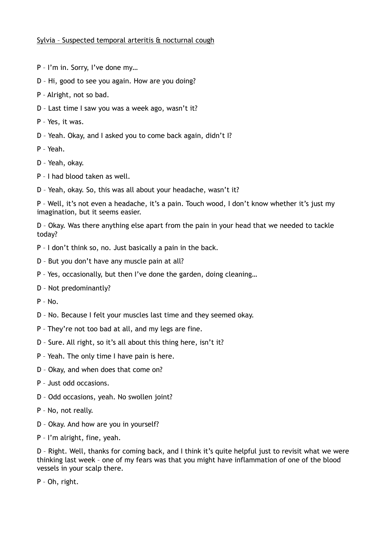## Sylvia – Suspected temporal arteritis & nocturnal cough

- P I'm in. Sorry, I've done my…
- D Hi, good to see you again. How are you doing?
- P Alright, not so bad.
- D Last time I saw you was a week ago, wasn't it?
- P Yes, it was.
- D Yeah. Okay, and I asked you to come back again, didn't I?

P – Yeah.

- D Yeah, okay.
- P I had blood taken as well.
- D Yeah, okay. So, this was all about your headache, wasn't it?

P – Well, it's not even a headache, it's a pain. Touch wood, I don't know whether it's just my imagination, but it seems easier.

D – Okay. Was there anything else apart from the pain in your head that we needed to tackle today?

- P I don't think so, no. Just basically a pain in the back.
- D But you don't have any muscle pain at all?
- P Yes, occasionally, but then I've done the garden, doing cleaning…
- D Not predominantly?

P – No.

- D No. Because I felt your muscles last time and they seemed okay.
- P They're not too bad at all, and my legs are fine.
- D Sure. All right, so it's all about this thing here, isn't it?
- P Yeah. The only time I have pain is here.
- D Okay, and when does that come on?
- P Just odd occasions.
- D Odd occasions, yeah. No swollen joint?
- P No, not really.
- D Okay. And how are you in yourself?
- P I'm alright, fine, yeah.

D – Right. Well, thanks for coming back, and I think it's quite helpful just to revisit what we were thinking last week – one of my fears was that you might have inflammation of one of the blood vessels in your scalp there.

P – Oh, right.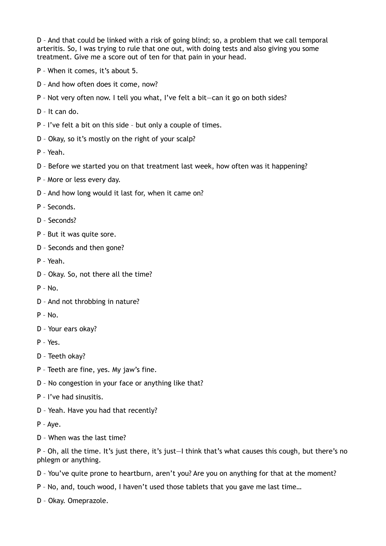D – And that could be linked with a risk of going blind; so, a problem that we call temporal arteritis. So, I was trying to rule that one out, with doing tests and also giving you some treatment. Give me a score out of ten for that pain in your head.

- P When it comes, it's about 5.
- D And how often does it come, now?
- P Not very often now. I tell you what, I've felt a bit—can it go on both sides?
- D It can do.
- P I've felt a bit on this side but only a couple of times.
- D Okay, so it's mostly on the right of your scalp?
- P Yeah.
- D Before we started you on that treatment last week, how often was it happening?
- P More or less every day.
- D And how long would it last for, when it came on?
- P Seconds.
- D Seconds?
- P But it was quite sore.
- D Seconds and then gone?
- P Yeah.
- D Okay. So, not there all the time?
- P No.
- D And not throbbing in nature?
- $P No.$
- D Your ears okay?
- P Yes.
- D Teeth okay?
- P Teeth are fine, yes. My jaw's fine.
- D No congestion in your face or anything like that?
- P I've had sinusitis.
- D Yeah. Have you had that recently?
- P Aye.
- D When was the last time?

P – Oh, all the time. It's just there, it's just—I think that's what causes this cough, but there's no phlegm or anything.

- D You've quite prone to heartburn, aren't you? Are you on anything for that at the moment?
- P No, and, touch wood, I haven't used those tablets that you gave me last time…
- D Okay. Omeprazole.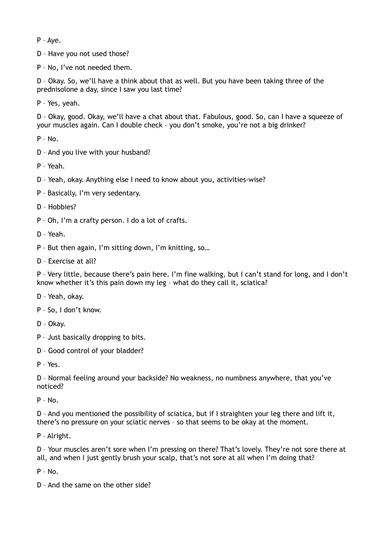P – Aye.

D – Have you not used those?

P – No, I've not needed them.

D – Okay. So, we'll have a think about that as well. But you have been taking three of the prednisolone a day, since I saw you last time?

P – Yes, yeah.

D – Okay, good. Okay, we'll have a chat about that. Fabulous, good. So, can I have a squeeze of your muscles again. Can I double check – you don't smoke, you're not a big drinker?

P – No.

- D And you live with your husband?
- P Yeah.
- D Yeah, okay. Anything else I need to know about you, activities-wise?
- P Basically, I'm very sedentary.
- D Hobbies?
- P Oh, I'm a crafty person. I do a lot of crafts.
- D Yeah.
- P But then again, I'm sitting down, I'm knitting, so…
- D Exercise at all?

P – Very little, because there's pain here. I'm fine walking, but I can't stand for long, and I don't know whether it's this pain down my leg – what do they call it, sciatica?

- D Yeah, okay.
- P So, I don't know.
- D Okay.
- P Just basically dropping to bits.
- D Good control of your bladder?

P – Yes.

D – Normal feeling around your backside? No weakness, no numbness anywhere, that you've noticed?

 $P - No$ .

D – And you mentioned the possibility of sciatica, but if I straighten your leg there and lift it, there's no pressure on your sciatic nerves – so that seems to be okay at the moment.

P – Alright.

D – Your muscles aren't sore when I'm pressing on there? That's lovely. They're not sore there at all, and when I just gently brush your scalp, that's not sore at all when I'm doing that?

 $P - No$ .

D – And the same on the other side?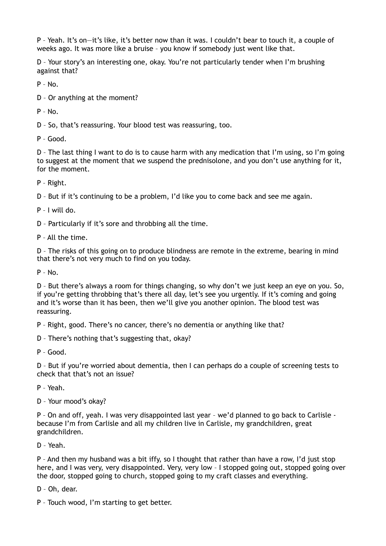P – Yeah. It's on—it's like, it's better now than it was. I couldn't bear to touch it, a couple of weeks ago. It was more like a bruise – you know if somebody just went like that.

D – Your story's an interesting one, okay. You're not particularly tender when I'm brushing against that?

 $P - No.$ 

D – Or anything at the moment?

 $P - No.$ 

D – So, that's reassuring. Your blood test was reassuring, too.

P – Good.

D – The last thing I want to do is to cause harm with any medication that I'm using, so I'm going to suggest at the moment that we suspend the prednisolone, and you don't use anything for it, for the moment.

P – Right.

D – But if it's continuing to be a problem, I'd like you to come back and see me again.

P – I will do.

D – Particularly if it's sore and throbbing all the time.

P – All the time.

D – The risks of this going on to produce blindness are remote in the extreme, bearing in mind that there's not very much to find on you today.

 $P - No.$ 

D – But there's always a room for things changing, so why don't we just keep an eye on you. So, if you're getting throbbing that's there all day, let's see you urgently. If it's coming and going and it's worse than it has been, then we'll give you another opinion. The blood test was reassuring.

P – Right, good. There's no cancer, there's no dementia or anything like that?

D – There's nothing that's suggesting that, okay?

P – Good.

D – But if you're worried about dementia, then I can perhaps do a couple of screening tests to check that that's not an issue?

P – Yeah.

D – Your mood's okay?

P – On and off, yeah. I was very disappointed last year – we'd planned to go back to Carlisle because I'm from Carlisle and all my children live in Carlisle, my grandchildren, great grandchildren.

D – Yeah.

P – And then my husband was a bit iffy, so I thought that rather than have a row, I'd just stop here, and I was very, very disappointed. Very, very low – I stopped going out, stopped going over the door, stopped going to church, stopped going to my craft classes and everything.

D – Oh, dear.

P – Touch wood, I'm starting to get better.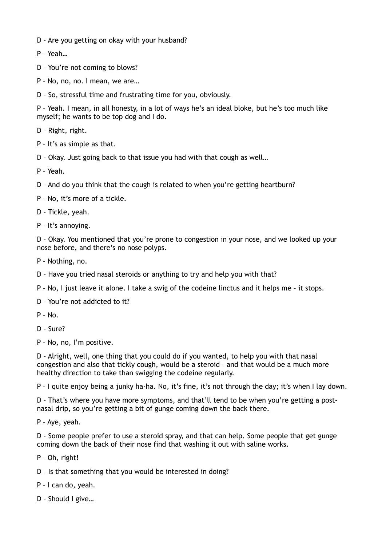- D Are you getting on okay with your husband?
- P Yeah…
- D You're not coming to blows?
- P No, no, no. I mean, we are…
- D So, stressful time and frustrating time for you, obviously.

P – Yeah. I mean, in all honesty, in a lot of ways he's an ideal bloke, but he's too much like myself; he wants to be top dog and I do.

- D Right, right.
- P It's as simple as that.
- D Okay. Just going back to that issue you had with that cough as well…
- P Yeah.
- D And do you think that the cough is related to when you're getting heartburn?
- P No, it's more of a tickle.
- D Tickle, yeah.
- P It's annoying.

D – Okay. You mentioned that you're prone to congestion in your nose, and we looked up your nose before, and there's no nose polyps.

- P Nothing, no.
- D Have you tried nasal steroids or anything to try and help you with that?
- P No, I just leave it alone. I take a swig of the codeine linctus and it helps me it stops.
- D You're not addicted to it?
- $P N_0$
- D Sure?
- P No, no, I'm positive.

D – Alright, well, one thing that you could do if you wanted, to help you with that nasal congestion and also that tickly cough, would be a steroid – and that would be a much more healthy direction to take than swigging the codeine regularly.

P – I quite enjoy being a junky ha-ha. No, it's fine, it's not through the day; it's when I lay down.

D – That's where you have more symptoms, and that'll tend to be when you're getting a postnasal drip, so you're getting a bit of gunge coming down the back there.

P – Aye, yeah.

D - Some people prefer to use a steroid spray, and that can help. Some people that get gunge coming down the back of their nose find that washing it out with saline works.

- P Oh, right!
- D Is that something that you would be interested in doing?
- P I can do, yeah.
- D Should I give…